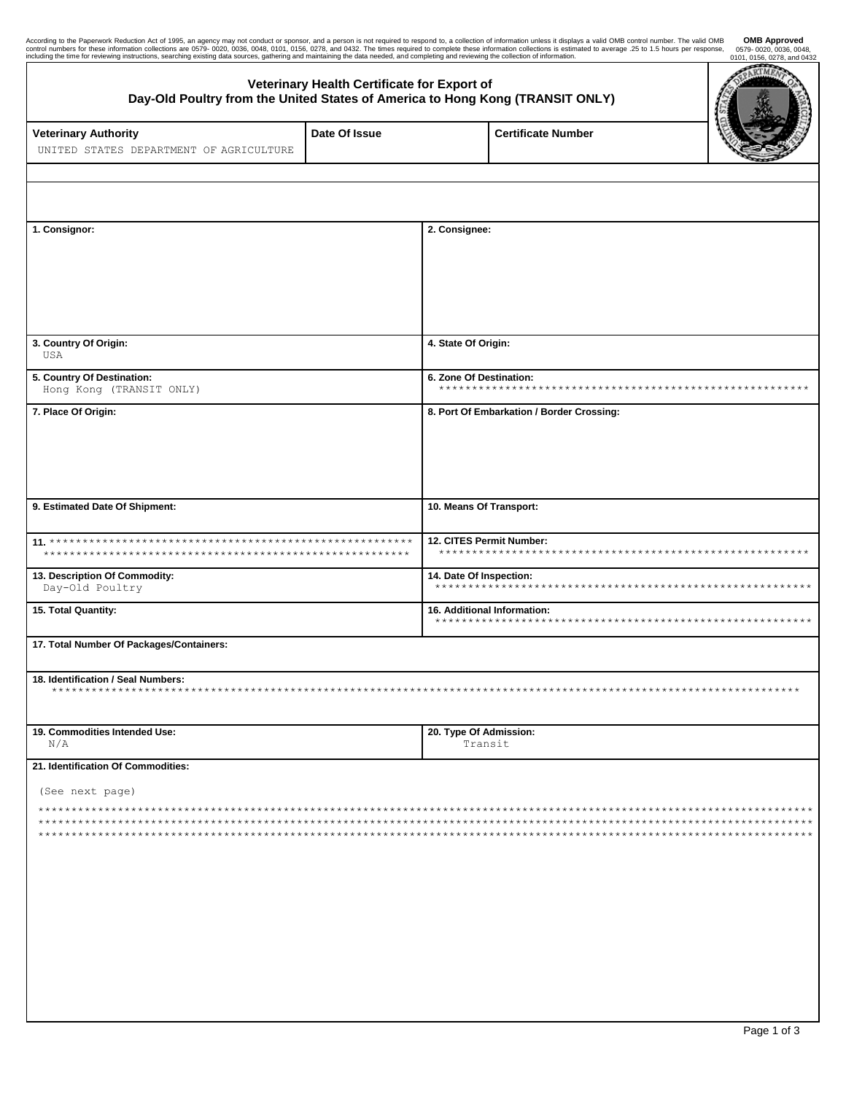| According to the Paperwork Reduction Act of 1995, an agency may not conduct or sponsor, and a person is not required to respond to, a collection of information unless it displays a valid OMB control number. The valid OMB<br>control numbers for these information collections are 0579-0020, 0036, 0048, 0101, 0156, 0278, and 0432. The times required to complete these information collections is estimated to average .25 to 1.5 hours per response,<br>including the time for reviewing instructions, searching existing data sources, gathering and maintaining the data needed, and completing and reviewing the collection of information. |                                             |                                                     |                           | <b>OMB Approved</b><br>0579-0020, 0036, 0048,<br>0101, 0156, 0278, and 0432<br><b>CERS</b> |  |
|--------------------------------------------------------------------------------------------------------------------------------------------------------------------------------------------------------------------------------------------------------------------------------------------------------------------------------------------------------------------------------------------------------------------------------------------------------------------------------------------------------------------------------------------------------------------------------------------------------------------------------------------------------|---------------------------------------------|-----------------------------------------------------|---------------------------|--------------------------------------------------------------------------------------------|--|
| Day-Old Poultry from the United States of America to Hong Kong (TRANSIT ONLY)                                                                                                                                                                                                                                                                                                                                                                                                                                                                                                                                                                          | Veterinary Health Certificate for Export of |                                                     |                           | RTMA                                                                                       |  |
| <b>Veterinary Authority</b><br>UNITED STATES DEPARTMENT OF AGRICULTURE                                                                                                                                                                                                                                                                                                                                                                                                                                                                                                                                                                                 | Date Of Issue                               |                                                     | <b>Certificate Number</b> |                                                                                            |  |
|                                                                                                                                                                                                                                                                                                                                                                                                                                                                                                                                                                                                                                                        |                                             |                                                     |                           |                                                                                            |  |
| 1. Consignor:                                                                                                                                                                                                                                                                                                                                                                                                                                                                                                                                                                                                                                          |                                             | 2. Consignee:                                       |                           |                                                                                            |  |
|                                                                                                                                                                                                                                                                                                                                                                                                                                                                                                                                                                                                                                                        |                                             |                                                     |                           |                                                                                            |  |
| 3. Country Of Origin:<br>USA                                                                                                                                                                                                                                                                                                                                                                                                                                                                                                                                                                                                                           |                                             | 4. State Of Origin:                                 |                           |                                                                                            |  |
| 5. Country Of Destination:<br>Hong Kong (TRANSIT ONLY)                                                                                                                                                                                                                                                                                                                                                                                                                                                                                                                                                                                                 |                                             | 6. Zone Of Destination:                             |                           |                                                                                            |  |
| 7. Place Of Origin:                                                                                                                                                                                                                                                                                                                                                                                                                                                                                                                                                                                                                                    |                                             | 8. Port Of Embarkation / Border Crossing:           |                           |                                                                                            |  |
| 9. Estimated Date Of Shipment:                                                                                                                                                                                                                                                                                                                                                                                                                                                                                                                                                                                                                         |                                             | 10. Means Of Transport:                             |                           |                                                                                            |  |
|                                                                                                                                                                                                                                                                                                                                                                                                                                                                                                                                                                                                                                                        |                                             | 12. CITES Permit Number:                            |                           |                                                                                            |  |
| 13. Description Of Commodity:<br>Day-Old Poultry                                                                                                                                                                                                                                                                                                                                                                                                                                                                                                                                                                                                       |                                             | 14. Date Of Inspection:                             |                           |                                                                                            |  |
| 15. Total Quantity:                                                                                                                                                                                                                                                                                                                                                                                                                                                                                                                                                                                                                                    |                                             | 16. Additional Information:<br>******************** |                           |                                                                                            |  |
| 17. Total Number Of Packages/Containers:                                                                                                                                                                                                                                                                                                                                                                                                                                                                                                                                                                                                               |                                             |                                                     |                           |                                                                                            |  |
| 18. Identification / Seal Numbers:                                                                                                                                                                                                                                                                                                                                                                                                                                                                                                                                                                                                                     |                                             |                                                     |                           |                                                                                            |  |
| 19. Commodities Intended Use:<br>N/A                                                                                                                                                                                                                                                                                                                                                                                                                                                                                                                                                                                                                   | 20. Type Of Admission:<br>Transit           |                                                     |                           |                                                                                            |  |
| 21. Identification Of Commodities:                                                                                                                                                                                                                                                                                                                                                                                                                                                                                                                                                                                                                     |                                             |                                                     |                           |                                                                                            |  |
| (See next page)                                                                                                                                                                                                                                                                                                                                                                                                                                                                                                                                                                                                                                        |                                             |                                                     |                           |                                                                                            |  |
|                                                                                                                                                                                                                                                                                                                                                                                                                                                                                                                                                                                                                                                        |                                             |                                                     |                           |                                                                                            |  |
|                                                                                                                                                                                                                                                                                                                                                                                                                                                                                                                                                                                                                                                        |                                             |                                                     |                           |                                                                                            |  |
|                                                                                                                                                                                                                                                                                                                                                                                                                                                                                                                                                                                                                                                        |                                             |                                                     |                           |                                                                                            |  |
|                                                                                                                                                                                                                                                                                                                                                                                                                                                                                                                                                                                                                                                        |                                             |                                                     |                           |                                                                                            |  |
|                                                                                                                                                                                                                                                                                                                                                                                                                                                                                                                                                                                                                                                        |                                             |                                                     |                           |                                                                                            |  |
|                                                                                                                                                                                                                                                                                                                                                                                                                                                                                                                                                                                                                                                        |                                             |                                                     |                           |                                                                                            |  |

ı

 $\overline{a}$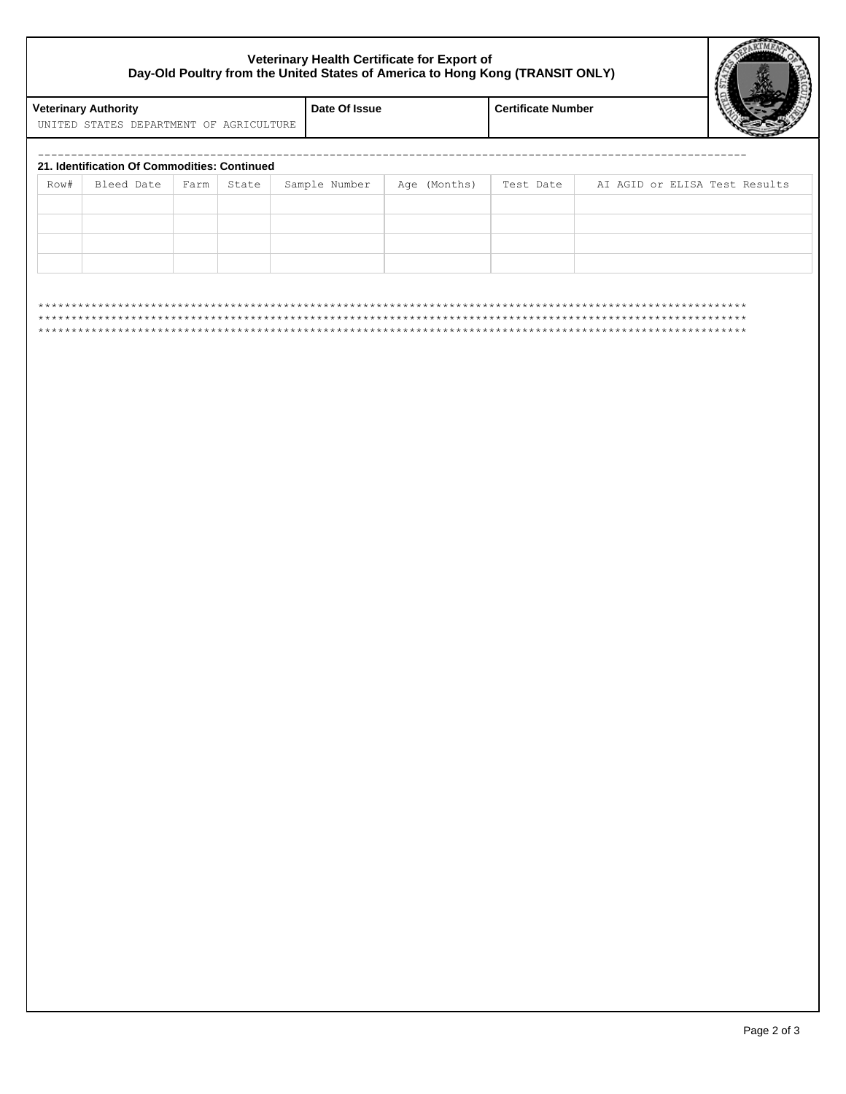## **Veterinary Health Certificate for Export of Day-Old Poultry from the United States of America to Hong Kong (TRANSIT ONLY)**



| UNITED STATES DEPARTMENT OF AGRICULTURE<br>21. Identification Of Commodities: Continued<br>Row#<br>Bleed Date<br>Farm<br>State<br>Sample Number<br>Age (Months)<br>Test Date<br>AI AGID or ELISA Test Results<br>***********************<br>$\star\star$ |  |                           |  |               |  |                             |  |       |
|----------------------------------------------------------------------------------------------------------------------------------------------------------------------------------------------------------------------------------------------------------|--|---------------------------|--|---------------|--|-----------------------------|--|-------|
|                                                                                                                                                                                                                                                          |  | <b>Certificate Number</b> |  | Date Of Issue |  | <b>Veterinary Authority</b> |  |       |
|                                                                                                                                                                                                                                                          |  |                           |  |               |  |                             |  |       |
|                                                                                                                                                                                                                                                          |  |                           |  |               |  |                             |  |       |
|                                                                                                                                                                                                                                                          |  |                           |  |               |  |                             |  |       |
|                                                                                                                                                                                                                                                          |  |                           |  |               |  |                             |  |       |
|                                                                                                                                                                                                                                                          |  |                           |  |               |  |                             |  |       |
|                                                                                                                                                                                                                                                          |  |                           |  |               |  |                             |  |       |
|                                                                                                                                                                                                                                                          |  |                           |  |               |  |                             |  |       |
|                                                                                                                                                                                                                                                          |  |                           |  |               |  |                             |  |       |
|                                                                                                                                                                                                                                                          |  |                           |  |               |  |                             |  |       |
|                                                                                                                                                                                                                                                          |  |                           |  |               |  |                             |  |       |
|                                                                                                                                                                                                                                                          |  |                           |  |               |  |                             |  | $* *$ |
|                                                                                                                                                                                                                                                          |  |                           |  |               |  |                             |  |       |
|                                                                                                                                                                                                                                                          |  |                           |  |               |  |                             |  |       |
|                                                                                                                                                                                                                                                          |  |                           |  |               |  |                             |  |       |
|                                                                                                                                                                                                                                                          |  |                           |  |               |  |                             |  |       |
|                                                                                                                                                                                                                                                          |  |                           |  |               |  |                             |  |       |
|                                                                                                                                                                                                                                                          |  |                           |  |               |  |                             |  |       |
|                                                                                                                                                                                                                                                          |  |                           |  |               |  |                             |  |       |
|                                                                                                                                                                                                                                                          |  |                           |  |               |  |                             |  |       |
|                                                                                                                                                                                                                                                          |  |                           |  |               |  |                             |  |       |
|                                                                                                                                                                                                                                                          |  |                           |  |               |  |                             |  |       |
|                                                                                                                                                                                                                                                          |  |                           |  |               |  |                             |  |       |
|                                                                                                                                                                                                                                                          |  |                           |  |               |  |                             |  |       |
|                                                                                                                                                                                                                                                          |  |                           |  |               |  |                             |  |       |
|                                                                                                                                                                                                                                                          |  |                           |  |               |  |                             |  |       |
|                                                                                                                                                                                                                                                          |  |                           |  |               |  |                             |  |       |
|                                                                                                                                                                                                                                                          |  |                           |  |               |  |                             |  |       |
|                                                                                                                                                                                                                                                          |  |                           |  |               |  |                             |  |       |
|                                                                                                                                                                                                                                                          |  |                           |  |               |  |                             |  |       |
|                                                                                                                                                                                                                                                          |  |                           |  |               |  |                             |  |       |
|                                                                                                                                                                                                                                                          |  |                           |  |               |  |                             |  |       |
|                                                                                                                                                                                                                                                          |  |                           |  |               |  |                             |  |       |
|                                                                                                                                                                                                                                                          |  |                           |  |               |  |                             |  |       |
|                                                                                                                                                                                                                                                          |  |                           |  |               |  |                             |  |       |
|                                                                                                                                                                                                                                                          |  |                           |  |               |  |                             |  |       |
|                                                                                                                                                                                                                                                          |  |                           |  |               |  |                             |  |       |
|                                                                                                                                                                                                                                                          |  |                           |  |               |  |                             |  |       |
|                                                                                                                                                                                                                                                          |  |                           |  |               |  |                             |  |       |
|                                                                                                                                                                                                                                                          |  |                           |  |               |  |                             |  |       |
|                                                                                                                                                                                                                                                          |  |                           |  |               |  |                             |  |       |
|                                                                                                                                                                                                                                                          |  |                           |  |               |  |                             |  |       |
|                                                                                                                                                                                                                                                          |  |                           |  |               |  |                             |  |       |
|                                                                                                                                                                                                                                                          |  |                           |  |               |  |                             |  |       |
|                                                                                                                                                                                                                                                          |  |                           |  |               |  |                             |  |       |
|                                                                                                                                                                                                                                                          |  |                           |  |               |  |                             |  |       |
|                                                                                                                                                                                                                                                          |  |                           |  |               |  |                             |  |       |
|                                                                                                                                                                                                                                                          |  |                           |  |               |  |                             |  |       |
|                                                                                                                                                                                                                                                          |  |                           |  |               |  |                             |  |       |
|                                                                                                                                                                                                                                                          |  |                           |  |               |  |                             |  |       |
|                                                                                                                                                                                                                                                          |  |                           |  |               |  |                             |  |       |
|                                                                                                                                                                                                                                                          |  |                           |  |               |  |                             |  |       |
|                                                                                                                                                                                                                                                          |  |                           |  |               |  |                             |  |       |
|                                                                                                                                                                                                                                                          |  |                           |  |               |  |                             |  |       |
|                                                                                                                                                                                                                                                          |  |                           |  |               |  |                             |  |       |
|                                                                                                                                                                                                                                                          |  |                           |  |               |  |                             |  |       |
|                                                                                                                                                                                                                                                          |  |                           |  |               |  |                             |  |       |
|                                                                                                                                                                                                                                                          |  |                           |  |               |  |                             |  |       |
|                                                                                                                                                                                                                                                          |  |                           |  |               |  |                             |  |       |
|                                                                                                                                                                                                                                                          |  |                           |  |               |  |                             |  |       |
|                                                                                                                                                                                                                                                          |  |                           |  |               |  |                             |  |       |
|                                                                                                                                                                                                                                                          |  |                           |  |               |  |                             |  |       |
|                                                                                                                                                                                                                                                          |  |                           |  |               |  |                             |  |       |
|                                                                                                                                                                                                                                                          |  |                           |  |               |  |                             |  |       |
|                                                                                                                                                                                                                                                          |  |                           |  |               |  |                             |  |       |
|                                                                                                                                                                                                                                                          |  |                           |  |               |  |                             |  |       |
|                                                                                                                                                                                                                                                          |  |                           |  |               |  |                             |  |       |
|                                                                                                                                                                                                                                                          |  |                           |  |               |  |                             |  |       |
|                                                                                                                                                                                                                                                          |  |                           |  |               |  |                             |  |       |
|                                                                                                                                                                                                                                                          |  |                           |  |               |  |                             |  |       |
|                                                                                                                                                                                                                                                          |  |                           |  |               |  |                             |  |       |
|                                                                                                                                                                                                                                                          |  |                           |  |               |  |                             |  |       |
|                                                                                                                                                                                                                                                          |  |                           |  |               |  |                             |  |       |